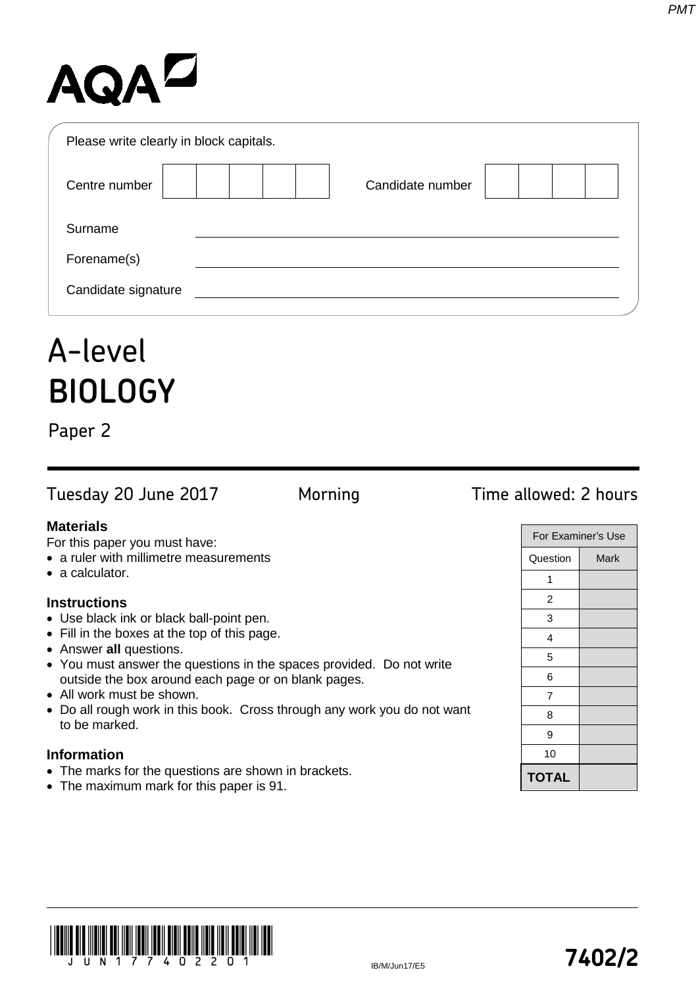# AQAD

| Please write clearly in block capitals. |                  |
|-----------------------------------------|------------------|
| Centre number                           | Candidate number |
| Surname                                 |                  |
| Forename(s)                             |                  |
| Candidate signature                     |                  |

## A-level **BIOLOGY**

Paper 2

Tuesday 20 June 2017 Morning Time allowed: 2 hours

For this paper you must have:

- a ruler with millimetre measurements
- a calculator.

## **Instructions**

- Use black ink or black ball-point pen.
- Fill in the boxes at the top of this page.
- Answer **all** questions.
- You must answer the questions in the spaces provided. Do not write outside the box around each page or on blank pages.
- All work must be shown.
- Do all rough work in this book. Cross through any work you do not want to be marked.

## **Information**

- The marks for the questions are shown in brackets.
- The maximum mark for this paper is 91.

| For Examiner's Use |      |  |
|--------------------|------|--|
| Question           | Mark |  |
| 1                  |      |  |
| 2                  |      |  |
| 3                  |      |  |
| 4                  |      |  |
| 5                  |      |  |
| 6                  |      |  |
| 7                  |      |  |
| 8                  |      |  |
| 9                  |      |  |
| 10                 |      |  |
| <b>TOTAL</b>       |      |  |



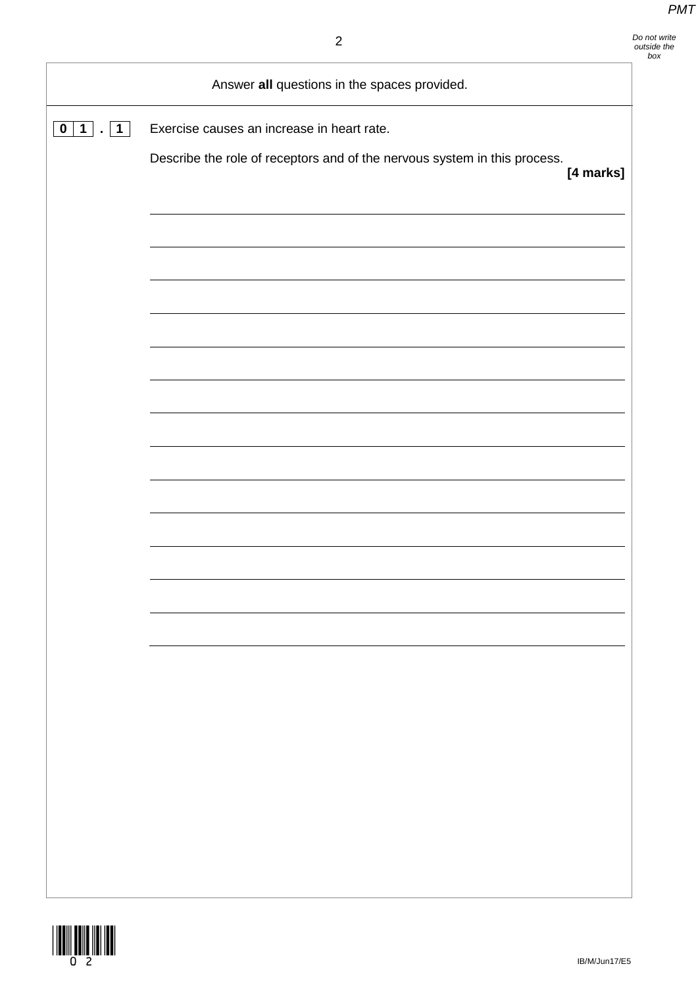|                                                   | Answer all questions in the spaces provided.                                           |
|---------------------------------------------------|----------------------------------------------------------------------------------------|
| 1<br>$\mathbf 1$<br>$\mathbf 0$<br>$\blacksquare$ | Exercise causes an increase in heart rate.                                             |
|                                                   | Describe the role of receptors and of the nervous system in this process.<br>[4 marks] |
|                                                   |                                                                                        |
|                                                   |                                                                                        |
|                                                   |                                                                                        |
|                                                   |                                                                                        |
|                                                   |                                                                                        |
|                                                   |                                                                                        |
|                                                   |                                                                                        |
|                                                   |                                                                                        |
|                                                   |                                                                                        |
|                                                   |                                                                                        |
|                                                   |                                                                                        |
|                                                   |                                                                                        |
|                                                   |                                                                                        |
|                                                   |                                                                                        |
|                                                   |                                                                                        |
|                                                   |                                                                                        |

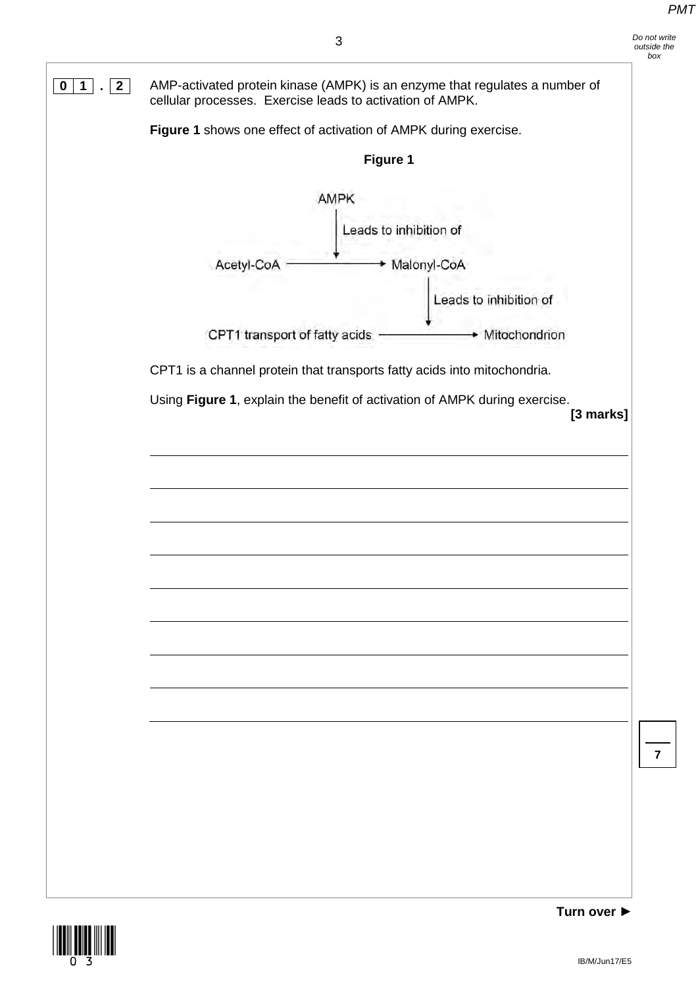

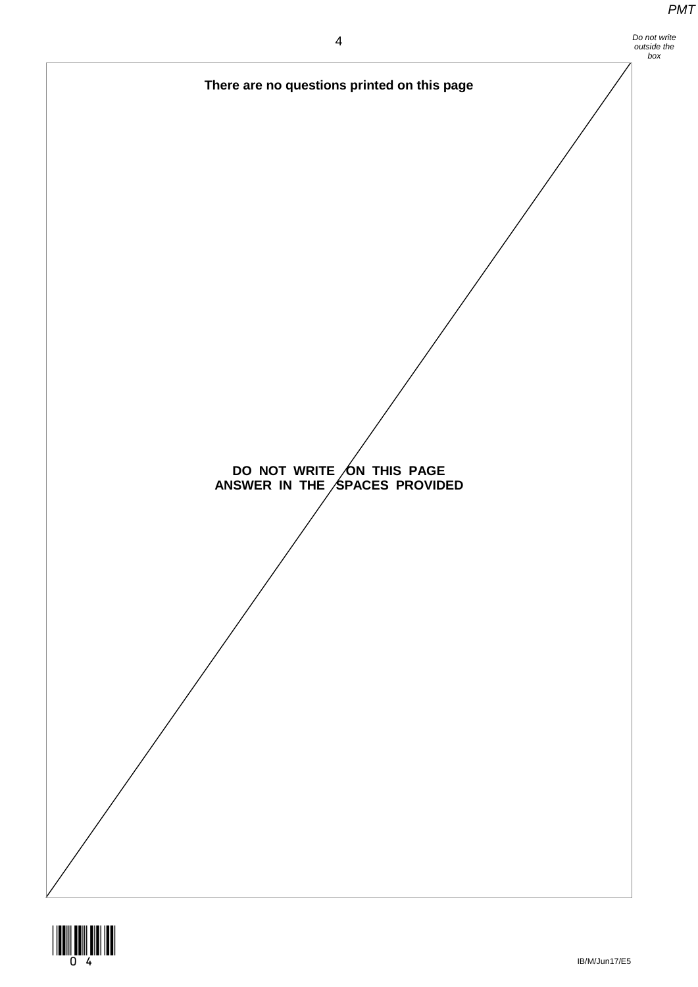

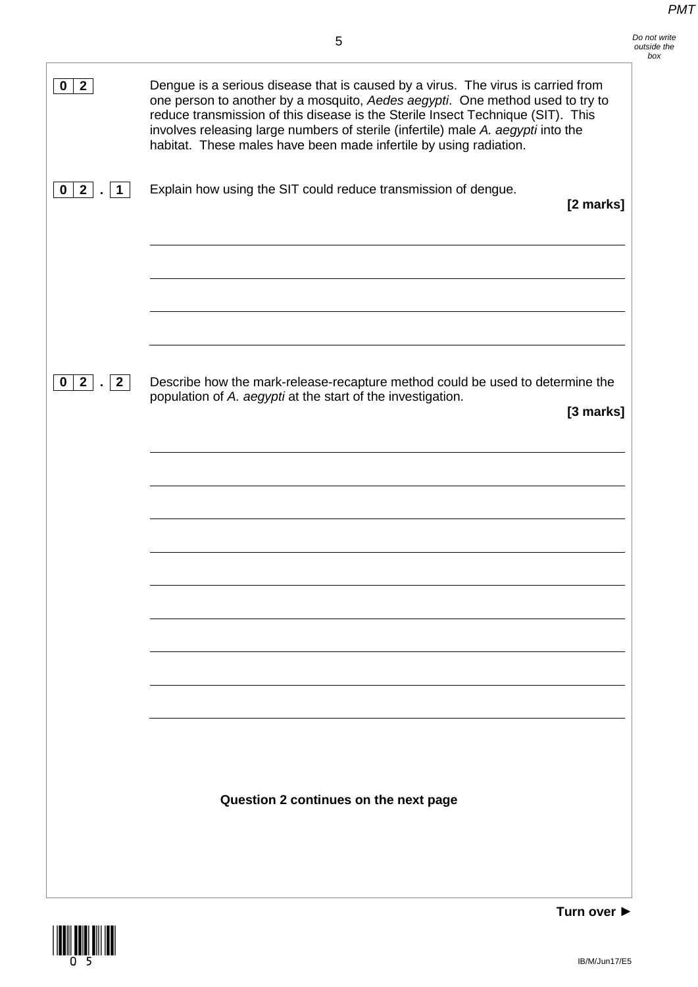| Do not write |
|--------------|
| outside the  |
| box          |

| $0 \mid 2$                            | Dengue is a serious disease that is caused by a virus. The virus is carried from<br>one person to another by a mosquito, Aedes aegypti. One method used to try to<br>reduce transmission of this disease is the Sterile Insect Technique (SIT). This<br>involves releasing large numbers of sterile (infertile) male A. aegypti into the<br>habitat. These males have been made infertile by using radiation. |           |
|---------------------------------------|---------------------------------------------------------------------------------------------------------------------------------------------------------------------------------------------------------------------------------------------------------------------------------------------------------------------------------------------------------------------------------------------------------------|-----------|
| 2 <br>$\mathbf 0$<br>1                | Explain how using the SIT could reduce transmission of dengue.                                                                                                                                                                                                                                                                                                                                                | [2 marks] |
| $\overline{2}$<br>$\overline{2}$<br>0 | Describe how the mark-release-recapture method could be used to determine the<br>population of A. aegypti at the start of the investigation.<br>Question 2 continues on the next page                                                                                                                                                                                                                         | [3 marks] |
|                                       |                                                                                                                                                                                                                                                                                                                                                                                                               |           |

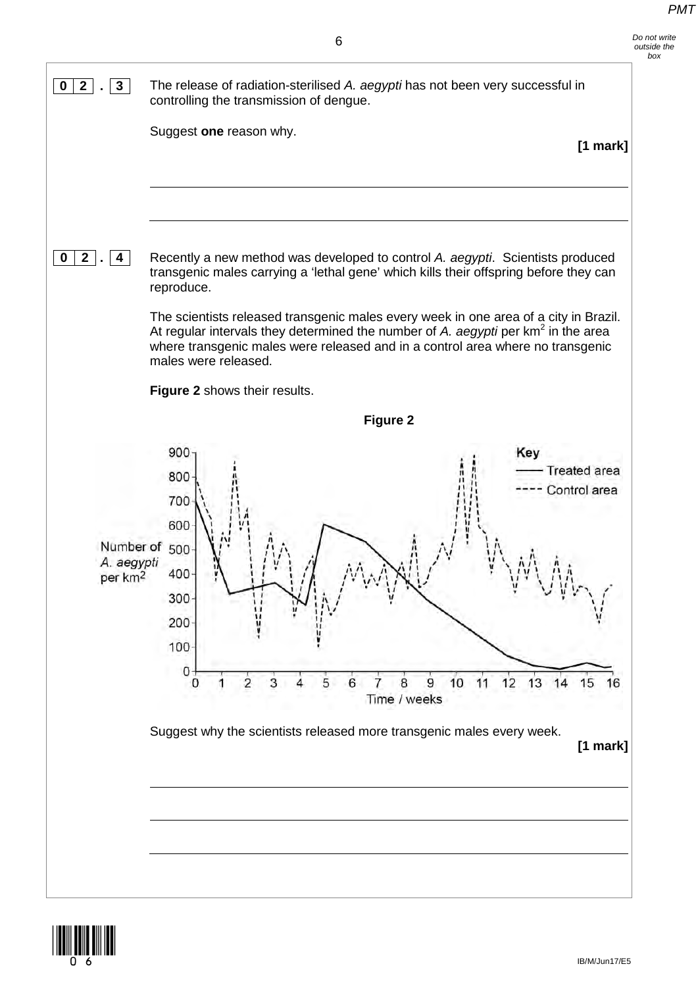

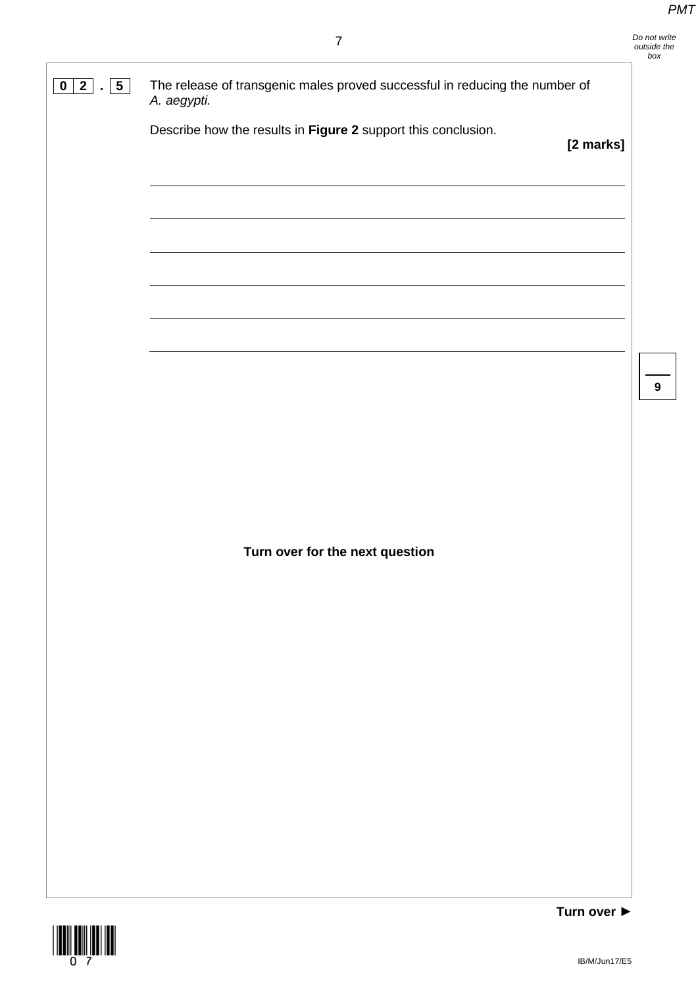**9**

**0 2 . 5** The release of transgenic males proved successful in reducing the number of *A. aegypti.* Describe how the results in **Figure 2** support this conclusion. **[2 marks]**

**Turn over for the next question**

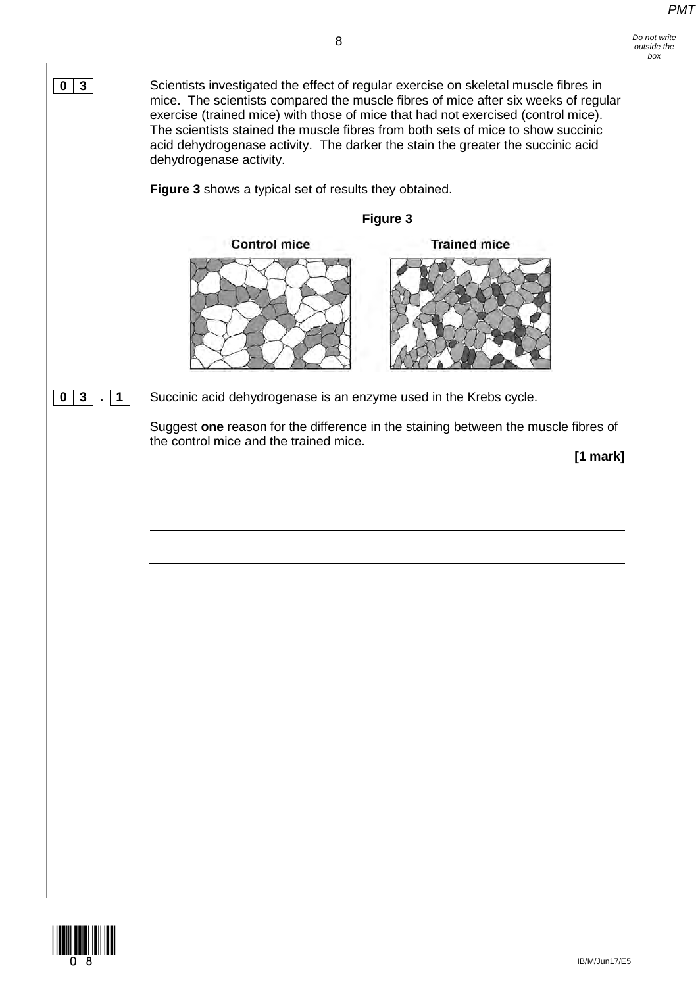*Do not write* 



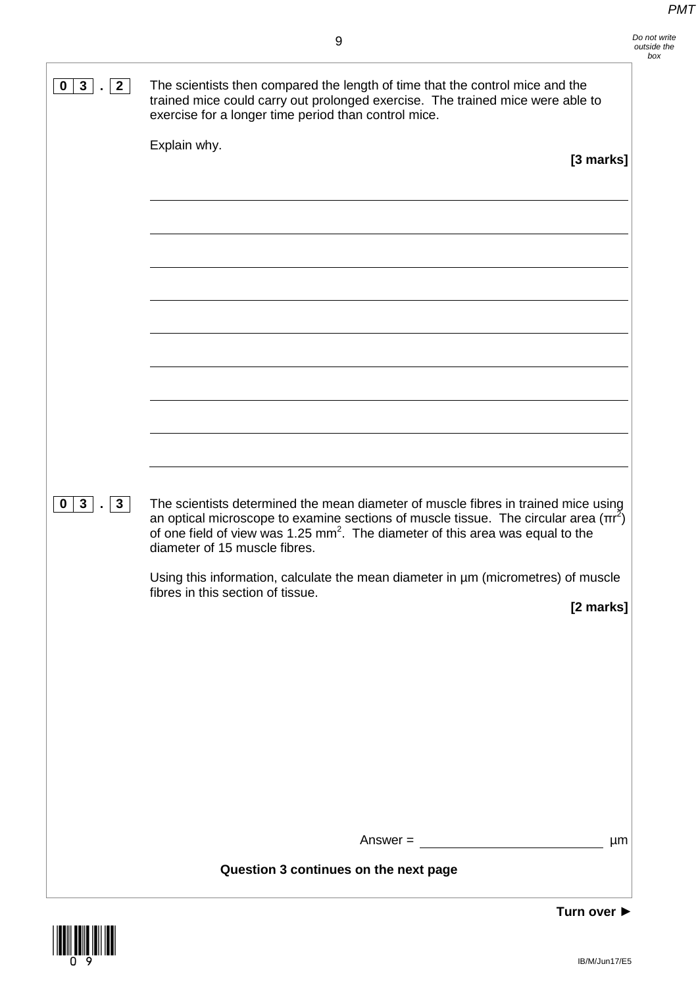| 3 <sup>1</sup><br>$2^{\circ}$<br>$\mathbf 0$ | The scientists then compared the length of time that the control mice and the<br>trained mice could carry out prolonged exercise. The trained mice were able to<br>exercise for a longer time period than control mice.                                                                                                                                                                                                                              |
|----------------------------------------------|------------------------------------------------------------------------------------------------------------------------------------------------------------------------------------------------------------------------------------------------------------------------------------------------------------------------------------------------------------------------------------------------------------------------------------------------------|
|                                              | Explain why.<br>[3 marks]                                                                                                                                                                                                                                                                                                                                                                                                                            |
|                                              |                                                                                                                                                                                                                                                                                                                                                                                                                                                      |
| $3$ . 3<br>$\mathbf 0$                       | The scientists determined the mean diameter of muscle fibres in trained mice using<br>an optical microscope to examine sections of muscle tissue. The circular area $(\pi r^2)$<br>of one field of view was 1.25 mm <sup>2</sup> . The diameter of this area was equal to the<br>diameter of 15 muscle fibres.<br>Using this information, calculate the mean diameter in um (micrometres) of muscle<br>fibres in this section of tissue<br>[2 marks] |
|                                              |                                                                                                                                                                                                                                                                                                                                                                                                                                                      |
|                                              | $Answer =$<br>μm<br>Question 3 continues on the next page                                                                                                                                                                                                                                                                                                                                                                                            |
|                                              |                                                                                                                                                                                                                                                                                                                                                                                                                                                      |

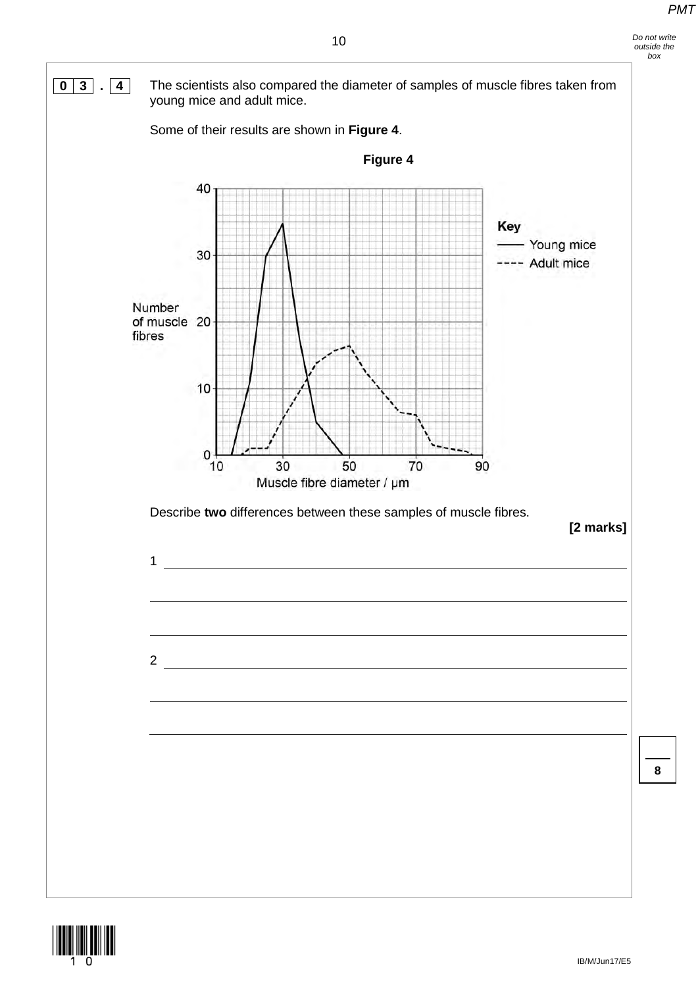*Do not write outside the box*

**0 3 . 4** The scientists also compared the diameter of samples of muscle fibres taken from





**8**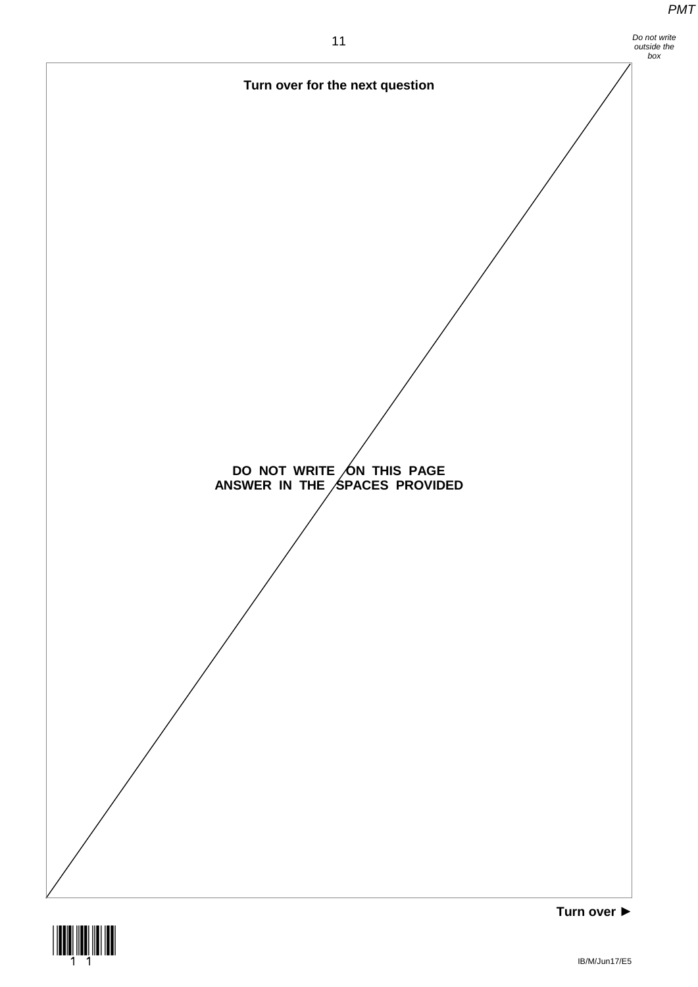*Do not write* 



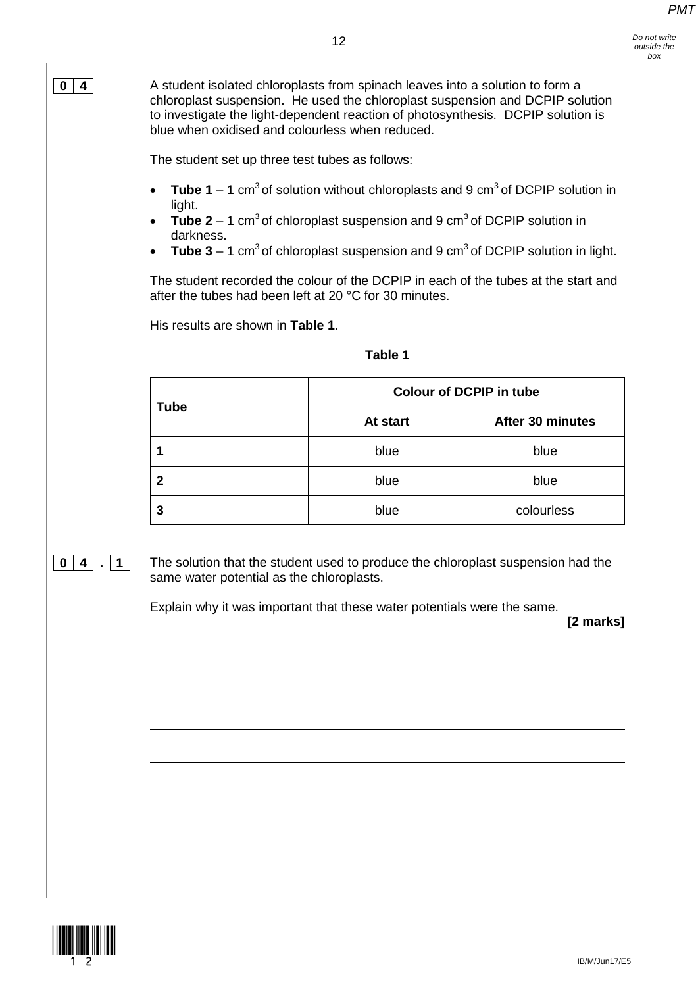**0 4** A student isolated chloroplasts from spinach leaves into a solution to form a chloroplast suspension. He used the chloroplast suspension and DCPIP solution to investigate the light-dependent reaction of photosynthesis. DCPIP solution is blue when oxidised and colourless when reduced.

The student set up three test tubes as follows:

- **Tube 1** 1 cm<sup>3</sup> of solution without chloroplasts and 9 cm<sup>3</sup> of DCPIP solution in light.
- **Tube 2** 1 cm<sup>3</sup> of chloroplast suspension and 9 cm<sup>3</sup> of DCPIP solution in darkness.
- **Tube 3** 1 cm<sup>3</sup> of chloroplast suspension and 9 cm<sup>3</sup> of DCPIP solution in light.

The student recorded the colour of the DCPIP in each of the tubes at the start and after the tubes had been left at 20 °C for 30 minutes.

His results are shown in **Table 1**.

## **Table 1**

| <b>Tube</b> | <b>Colour of DCPIP in tube</b> |                  |  |
|-------------|--------------------------------|------------------|--|
|             | At start                       | After 30 minutes |  |
|             | blue                           | blue             |  |
| 2           | blue                           | blue             |  |
| 3           | blue                           | colourless       |  |

**0 4 . 1** The solution that the student used to produce the chloroplast suspension had the same water potential as the chloroplasts.

Explain why it was important that these water potentials were the same.

**[2 marks]**

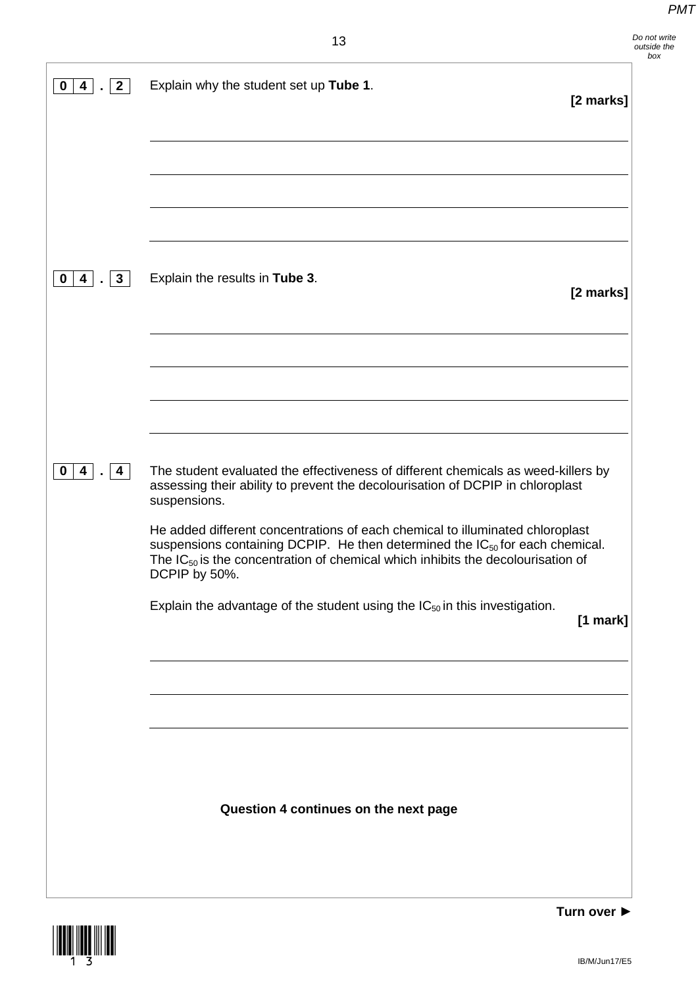*Do not write outside the box*

| $\mathbf{2}$<br>0<br>$\overline{4}$<br>$\blacksquare$ | Explain why the student set up Tube 1.<br>[2 marks]                                                                                                                                                                                                                                |  |
|-------------------------------------------------------|------------------------------------------------------------------------------------------------------------------------------------------------------------------------------------------------------------------------------------------------------------------------------------|--|
|                                                       |                                                                                                                                                                                                                                                                                    |  |
|                                                       |                                                                                                                                                                                                                                                                                    |  |
| $0  4 $ . 3                                           | Explain the results in Tube 3.<br>[2 marks]                                                                                                                                                                                                                                        |  |
|                                                       |                                                                                                                                                                                                                                                                                    |  |
|                                                       |                                                                                                                                                                                                                                                                                    |  |
|                                                       |                                                                                                                                                                                                                                                                                    |  |
| $0  4 $ . 4                                           | The student evaluated the effectiveness of different chemicals as weed-killers by<br>assessing their ability to prevent the decolourisation of DCPIP in chloroplast<br>suspensions.                                                                                                |  |
|                                                       | He added different concentrations of each chemical to illuminated chloroplast<br>suspensions containing DCPIP. He then determined the IC <sub>50</sub> for each chemical.<br>The $IC_{50}$ is the concentration of chemical which inhibits the decolourisation of<br>DCPIP by 50%. |  |
|                                                       | Explain the advantage of the student using the $IC_{50}$ in this investigation.<br>[1 mark]                                                                                                                                                                                        |  |
|                                                       |                                                                                                                                                                                                                                                                                    |  |
|                                                       |                                                                                                                                                                                                                                                                                    |  |
|                                                       | Question 4 continues on the next page                                                                                                                                                                                                                                              |  |
|                                                       |                                                                                                                                                                                                                                                                                    |  |
|                                                       |                                                                                                                                                                                                                                                                                    |  |

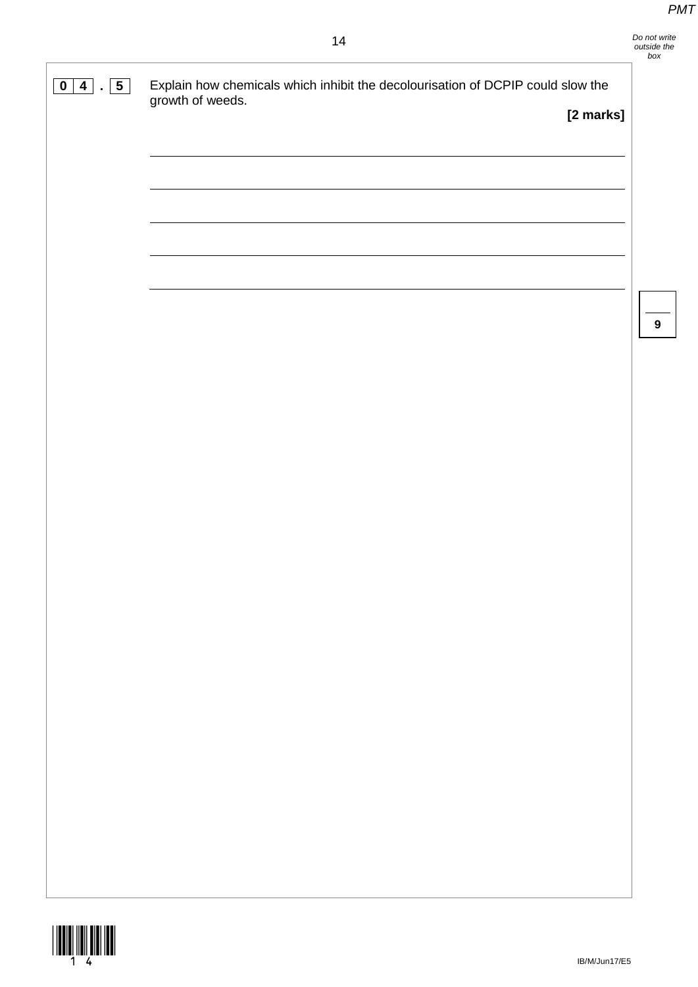**9**



**0 4 . 5** Explain how chemicals which inhibit the decolourisation of DCPIP could slow the growth of weeds. **[2 marks]**

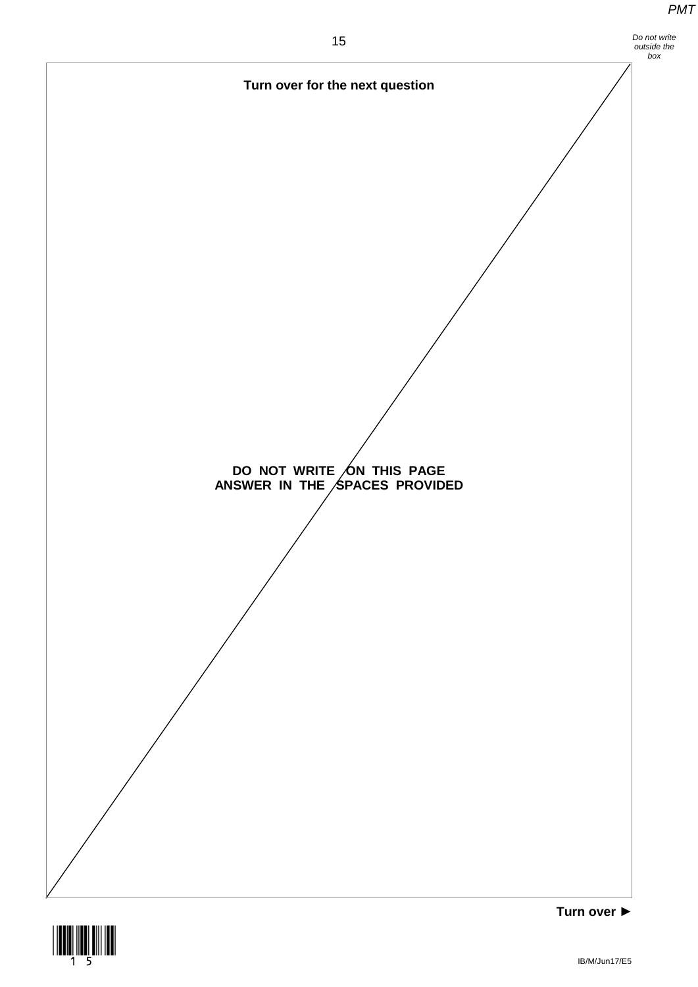

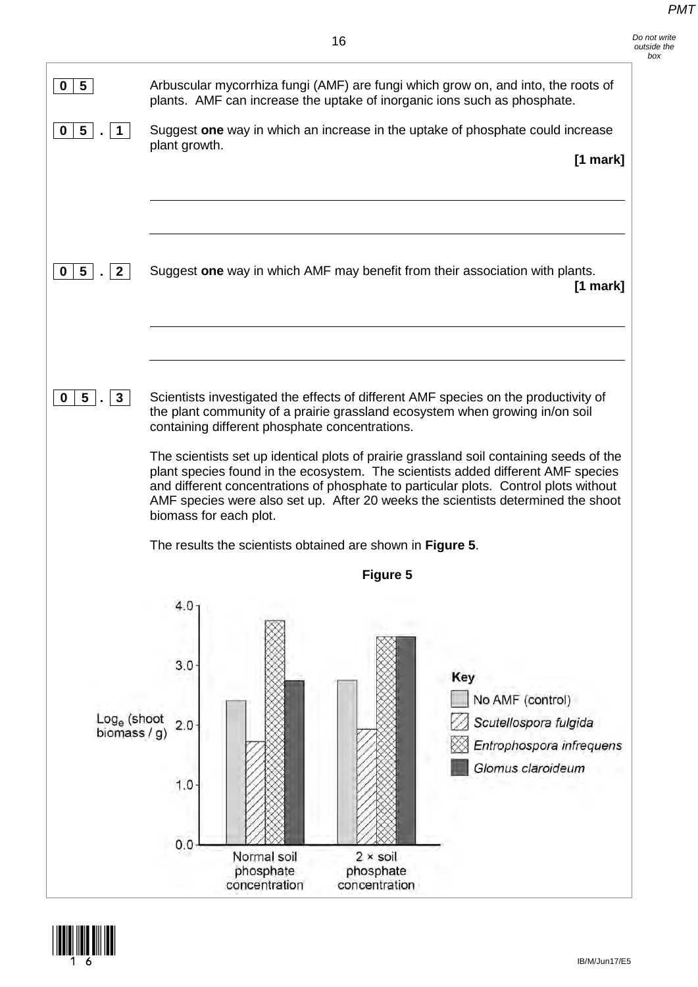| 5<br>0                              |                                 |                                                |                                                            | Arbuscular mycorrhiza fungi (AMF) are fungi which grow on, and into, the roots of<br>plants. AMF can increase the uptake of inorganic ions such as phosphate.                                                                                                                                                                                           |
|-------------------------------------|---------------------------------|------------------------------------------------|------------------------------------------------------------|---------------------------------------------------------------------------------------------------------------------------------------------------------------------------------------------------------------------------------------------------------------------------------------------------------------------------------------------------------|
| 5<br>0                              |                                 |                                                |                                                            | Suggest one way in which an increase in the uptake of phosphate could increase                                                                                                                                                                                                                                                                          |
|                                     | plant growth.                   |                                                |                                                            | $[1$ mark]                                                                                                                                                                                                                                                                                                                                              |
| 5<br>0<br>$\mathbf{2}$              |                                 |                                                |                                                            | Suggest one way in which AMF may benefit from their association with plants.                                                                                                                                                                                                                                                                            |
|                                     |                                 |                                                |                                                            | $[1$ mark]                                                                                                                                                                                                                                                                                                                                              |
| 5 <sup>1</sup><br>0<br>$\mathbf{3}$ |                                 | containing different phosphate concentrations. |                                                            | Scientists investigated the effects of different AMF species on the productivity of<br>the plant community of a prairie grassland ecosystem when growing in/on soil                                                                                                                                                                                     |
|                                     | biomass for each plot.          |                                                |                                                            | The scientists set up identical plots of prairie grassland soil containing seeds of the<br>plant species found in the ecosystem. The scientists added different AMF species<br>and different concentrations of phosphate to particular plots. Control plots without<br>AMF species were also set up. After 20 weeks the scientists determined the shoot |
|                                     |                                 |                                                | The results the scientists obtained are shown in Figure 5. |                                                                                                                                                                                                                                                                                                                                                         |
|                                     |                                 |                                                | <b>Figure 5</b>                                            |                                                                                                                                                                                                                                                                                                                                                         |
| $Log_e$ (shoot<br>biomass / g)      | 4.0<br>3.0<br>2.0<br>1.0<br>0.0 |                                                |                                                            | Key<br>No AMF (control)<br>Scutellospora fulgida<br>Entrophospora infrequens<br>Glomus claroideum                                                                                                                                                                                                                                                       |
|                                     |                                 | Normal soil<br>phosphate<br>concentration      | $2 \times$ soil<br>phosphate<br>concentration              |                                                                                                                                                                                                                                                                                                                                                         |

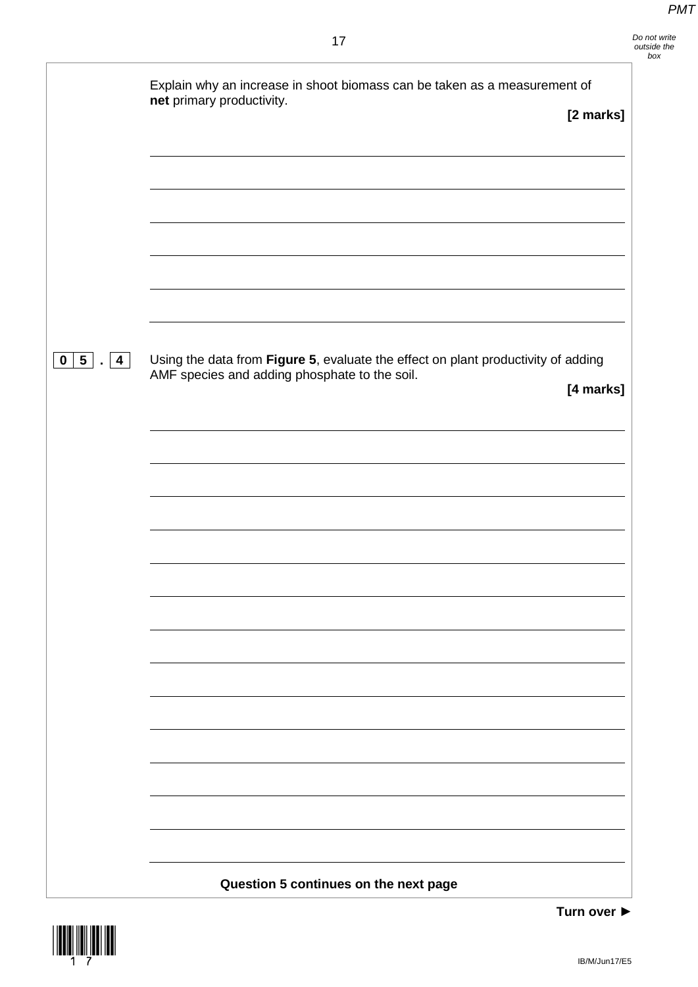*Do not write outside the box*

|                                                                                  | Explain why an increase in shoot biomass can be taken as a measurement of<br>net primary productivity.<br>[2 marks]                             |
|----------------------------------------------------------------------------------|-------------------------------------------------------------------------------------------------------------------------------------------------|
|                                                                                  |                                                                                                                                                 |
|                                                                                  |                                                                                                                                                 |
| $\begin{array}{ c c c } \hline \textbf{0} & \textbf{5} & \textbf{4} \end{array}$ | Using the data from Figure 5, evaluate the effect on plant productivity of adding<br>AMF species and adding phosphate to the soil.<br>[4 marks] |
|                                                                                  |                                                                                                                                                 |
|                                                                                  |                                                                                                                                                 |
|                                                                                  |                                                                                                                                                 |
|                                                                                  |                                                                                                                                                 |
|                                                                                  |                                                                                                                                                 |
|                                                                                  | Question 5 continues on the next page                                                                                                           |

 $\frac{1}{2}$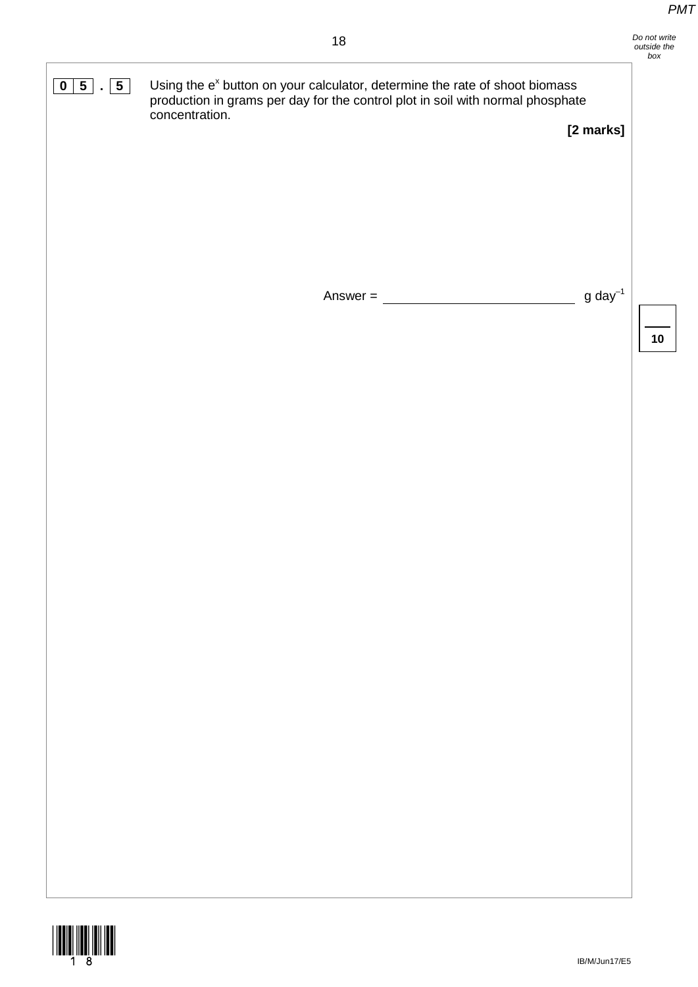*Do not write outside the box*

**0 5 5** Using the e<sup>x</sup> button on your calculator, determine the rate of shoot biomass production in grams per day for the control plot in soil with normal phosphate concentration.

**[2 marks]**

Answer =  $\frac{1}{\sqrt{1-\frac{1}{2}}\sqrt{1-\frac{1}{2}}\sqrt{1-\frac{1}{2}}\sqrt{1-\frac{1}{2}}}}$  g day<sup>-1</sup>

**10**

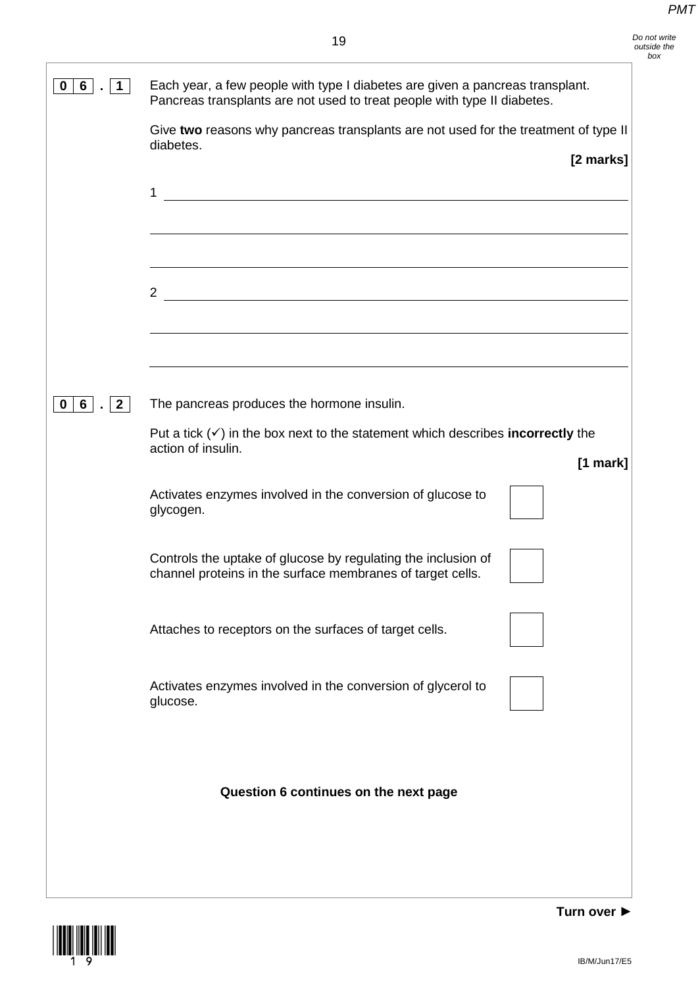| Each year, a few people with type I diabetes are given a pancreas transplant.<br>Pancreas transplants are not used to treat people with type II diabetes. |
|-----------------------------------------------------------------------------------------------------------------------------------------------------------|
| Give two reasons why pancreas transplants are not used for the treatment of type II<br>diabetes.                                                          |
| [2 marks]                                                                                                                                                 |
| 1                                                                                                                                                         |
|                                                                                                                                                           |
| <u> 1989 - Johann Stoff, fransk politik (d. 1989)</u><br>$\overline{2}$                                                                                   |
|                                                                                                                                                           |
|                                                                                                                                                           |
| The pancreas produces the hormone insulin.                                                                                                                |
| Put a tick $(\checkmark)$ in the box next to the statement which describes incorrectly the<br>action of insulin.<br>$[1$ mark]                            |
| Activates enzymes involved in the conversion of glucose to<br>glycogen.                                                                                   |
| Controls the uptake of glucose by regulating the inclusion of<br>channel proteins in the surface membranes of target cells.                               |
| Attaches to receptors on the surfaces of target cells.                                                                                                    |
| Activates enzymes involved in the conversion of glycerol to<br>glucose.                                                                                   |
|                                                                                                                                                           |
| Question 6 continues on the next page                                                                                                                     |
|                                                                                                                                                           |
|                                                                                                                                                           |
|                                                                                                                                                           |

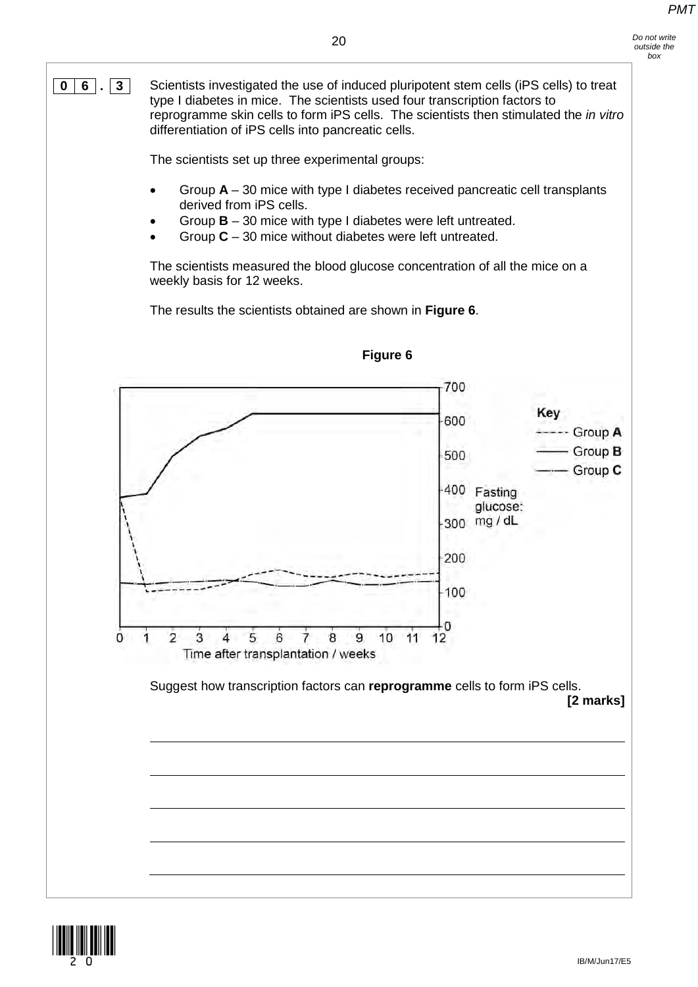**0 6 . 3** Scientists investigated the use of induced pluripotent stem cells (iPS cells) to treat type I diabetes in mice. The scientists used four transcription factors to reprogramme skin cells to form iPS cells. The scientists then stimulated the *in vitro* differentiation of iPS cells into pancreatic cells.

The scientists set up three experimental groups:

- Group **A** 30 mice with type I diabetes received pancreatic cell transplants derived from iPS cells.
- Group **B** 30 mice with type I diabetes were left untreated.
- Group **C** 30 mice without diabetes were left untreated.

The scientists measured the blood glucose concentration of all the mice on a weekly basis for 12 weeks.

The results the scientists obtained are shown in **Figure 6**.



**Figure 6**

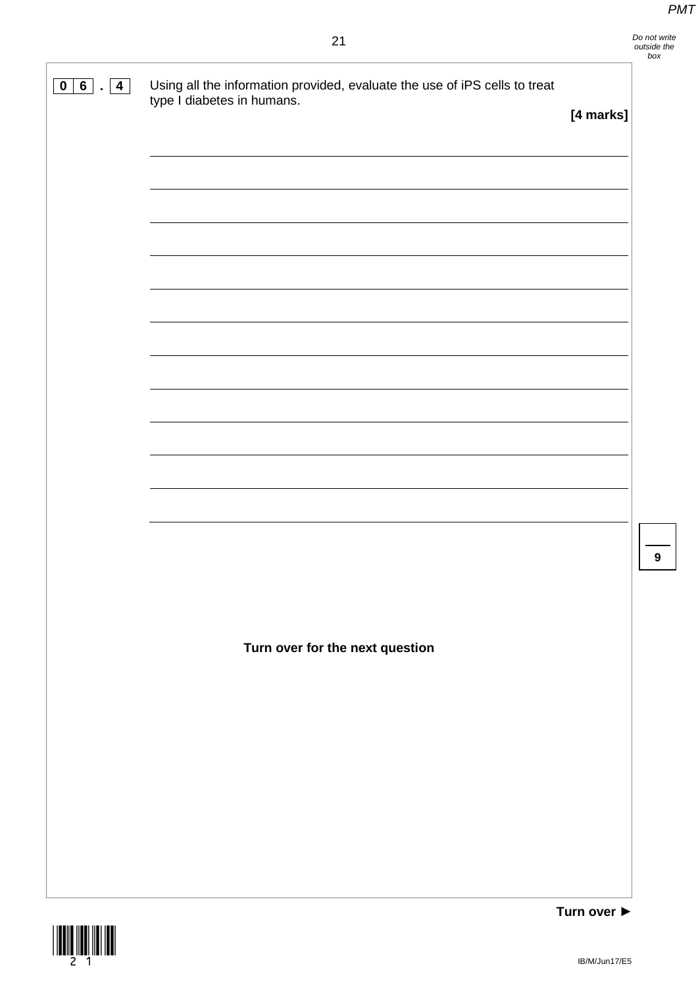**9**

| 0 6 <br>$\vert$ 4<br>$\mathbf{r}$ | Using all the information provided, evaluate the use of iPS cells to treat<br>type I diabetes in humans. | [4 marks] |
|-----------------------------------|----------------------------------------------------------------------------------------------------------|-----------|
|                                   |                                                                                                          |           |
|                                   |                                                                                                          |           |
|                                   |                                                                                                          |           |
|                                   |                                                                                                          |           |
|                                   |                                                                                                          |           |
|                                   |                                                                                                          |           |
|                                   |                                                                                                          |           |
|                                   |                                                                                                          |           |
|                                   |                                                                                                          |           |
|                                   |                                                                                                          |           |
|                                   |                                                                                                          |           |
|                                   |                                                                                                          |           |
|                                   |                                                                                                          |           |
|                                   |                                                                                                          |           |
|                                   |                                                                                                          |           |
|                                   |                                                                                                          |           |
|                                   | Turn over for the next question                                                                          |           |
|                                   |                                                                                                          |           |
|                                   |                                                                                                          |           |
|                                   |                                                                                                          |           |
|                                   |                                                                                                          |           |
|                                   |                                                                                                          |           |
|                                   |                                                                                                          |           |
|                                   |                                                                                                          |           |
|                                   |                                                                                                          |           |



 $\overline{\phantom{a}}$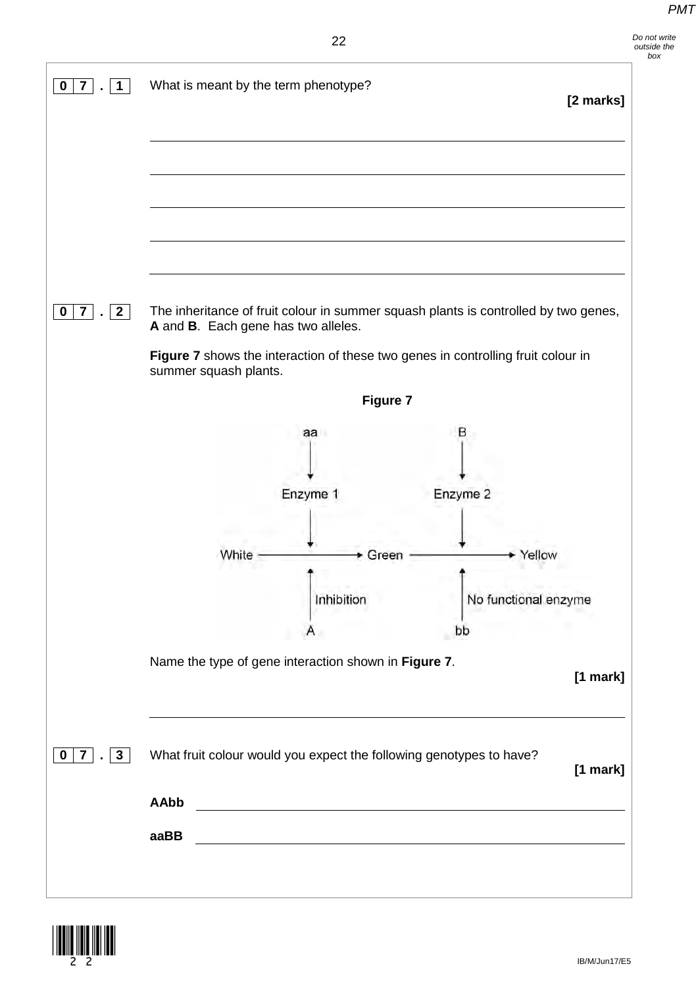*Do not write* 

## 22

| $\overline{7}$<br>$\vert$ 1                       | What is meant by the term phenotype? |                                                                                                                       |                                                                                     | [2 marks] |
|---------------------------------------------------|--------------------------------------|-----------------------------------------------------------------------------------------------------------------------|-------------------------------------------------------------------------------------|-----------|
|                                                   |                                      |                                                                                                                       |                                                                                     |           |
|                                                   |                                      |                                                                                                                       |                                                                                     |           |
|                                                   |                                      |                                                                                                                       |                                                                                     |           |
|                                                   |                                      |                                                                                                                       |                                                                                     |           |
|                                                   |                                      |                                                                                                                       |                                                                                     |           |
|                                                   |                                      |                                                                                                                       |                                                                                     |           |
| $\vert 2 \vert$<br>$\overline{7}$<br>$\mathbf{r}$ |                                      |                                                                                                                       | The inheritance of fruit colour in summer squash plants is controlled by two genes, |           |
|                                                   | A and B. Each gene has two alleles.  |                                                                                                                       |                                                                                     |           |
|                                                   | summer squash plants.                |                                                                                                                       | Figure 7 shows the interaction of these two genes in controlling fruit colour in    |           |
|                                                   |                                      | Figure 7                                                                                                              |                                                                                     |           |
|                                                   |                                      | aa                                                                                                                    | в                                                                                   |           |
|                                                   |                                      |                                                                                                                       |                                                                                     |           |
|                                                   |                                      | Enzyme 1                                                                                                              | Enzyme 2                                                                            |           |
|                                                   |                                      |                                                                                                                       |                                                                                     |           |
|                                                   | White                                | Green                                                                                                                 | Yellow                                                                              |           |
|                                                   |                                      |                                                                                                                       |                                                                                     |           |
|                                                   |                                      | Inhibition                                                                                                            | No functional enzyme                                                                |           |
|                                                   |                                      |                                                                                                                       | bb                                                                                  |           |
|                                                   |                                      | Name the type of gene interaction shown in Figure 7.                                                                  |                                                                                     |           |
|                                                   |                                      |                                                                                                                       |                                                                                     | [1 mark]  |
|                                                   |                                      |                                                                                                                       |                                                                                     |           |
|                                                   |                                      |                                                                                                                       |                                                                                     |           |
|                                                   |                                      |                                                                                                                       |                                                                                     |           |
| $\vert 3 \vert$<br>$\blacksquare$                 |                                      | What fruit colour would you expect the following genotypes to have?                                                   |                                                                                     |           |
|                                                   |                                      |                                                                                                                       |                                                                                     | [1 mark]  |
| $\overline{7}$                                    | <b>AAbb</b><br>aaBB                  | <u> 1980 - Johann Barn, mars ar breithinn ar breithinn ar chomhair an t-an breithinn an dùthchan an dùthchan an d</u> |                                                                                     |           |

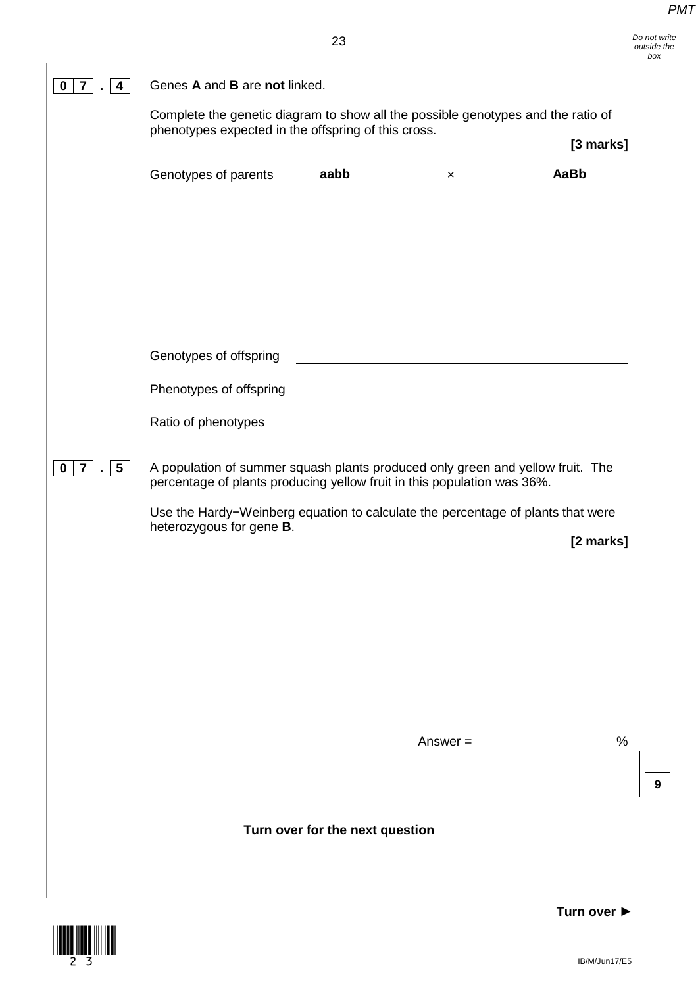|                                      | Genes A and B are not linked.                                                                                                                              |                                 |                                                                    |             |
|--------------------------------------|------------------------------------------------------------------------------------------------------------------------------------------------------------|---------------------------------|--------------------------------------------------------------------|-------------|
|                                      | Complete the genetic diagram to show all the possible genotypes and the ratio of<br>phenotypes expected in the offspring of this cross.                    |                                 |                                                                    | [3 marks]   |
|                                      | Genotypes of parents                                                                                                                                       | aabb                            | $\pmb{\times}$                                                     | AaBb        |
|                                      |                                                                                                                                                            |                                 |                                                                    |             |
|                                      |                                                                                                                                                            |                                 |                                                                    |             |
|                                      |                                                                                                                                                            |                                 |                                                                    |             |
|                                      | Genotypes of offspring                                                                                                                                     |                                 |                                                                    |             |
|                                      | Phenotypes of offspring<br>Ratio of phenotypes                                                                                                             |                                 | <u> 1980 - Johann Barbara, martxa amerikan personal (h. 1980).</u> |             |
| 5 <br>7 <sup>1</sup><br>$\mathbf{0}$ | A population of summer squash plants produced only green and yellow fruit. The                                                                             |                                 |                                                                    |             |
|                                      | percentage of plants producing yellow fruit in this population was 36%.<br>Use the Hardy-Weinberg equation to calculate the percentage of plants that were |                                 |                                                                    |             |
|                                      | heterozygous for gene B.                                                                                                                                   |                                 |                                                                    | [2 marks]   |
|                                      |                                                                                                                                                            |                                 |                                                                    |             |
|                                      |                                                                                                                                                            |                                 |                                                                    |             |
|                                      |                                                                                                                                                            |                                 |                                                                    |             |
|                                      |                                                                                                                                                            |                                 |                                                                    |             |
|                                      |                                                                                                                                                            |                                 | $Answer =$                                                         | $\%$        |
|                                      |                                                                                                                                                            |                                 |                                                                    | 9           |
|                                      |                                                                                                                                                            | Turn over for the next question |                                                                    |             |
|                                      |                                                                                                                                                            |                                 |                                                                    |             |
|                                      |                                                                                                                                                            |                                 |                                                                    | Turn over ▶ |

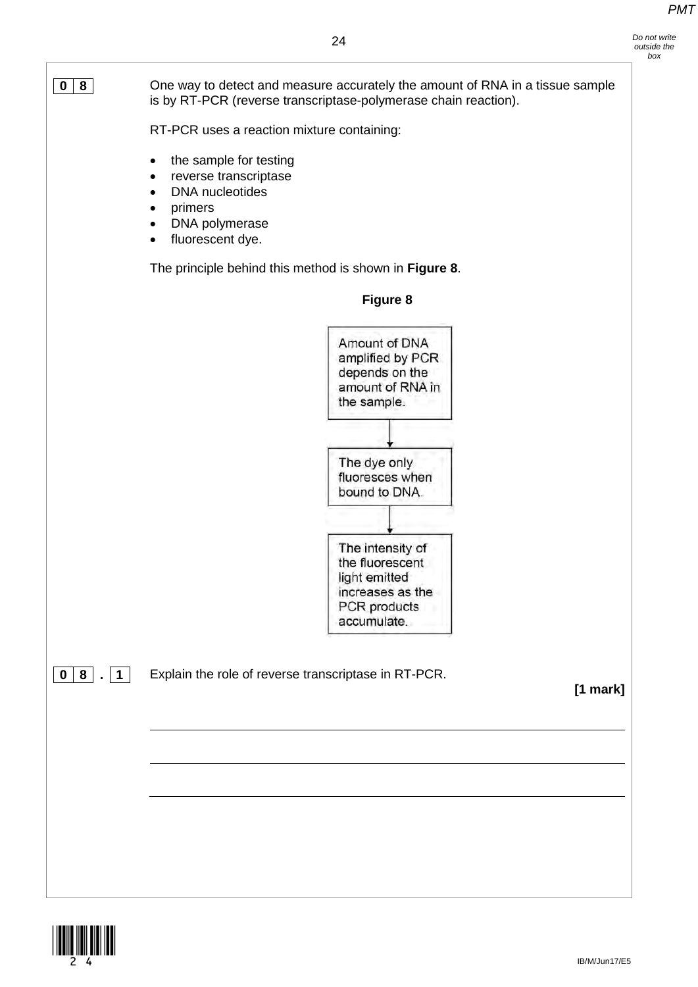

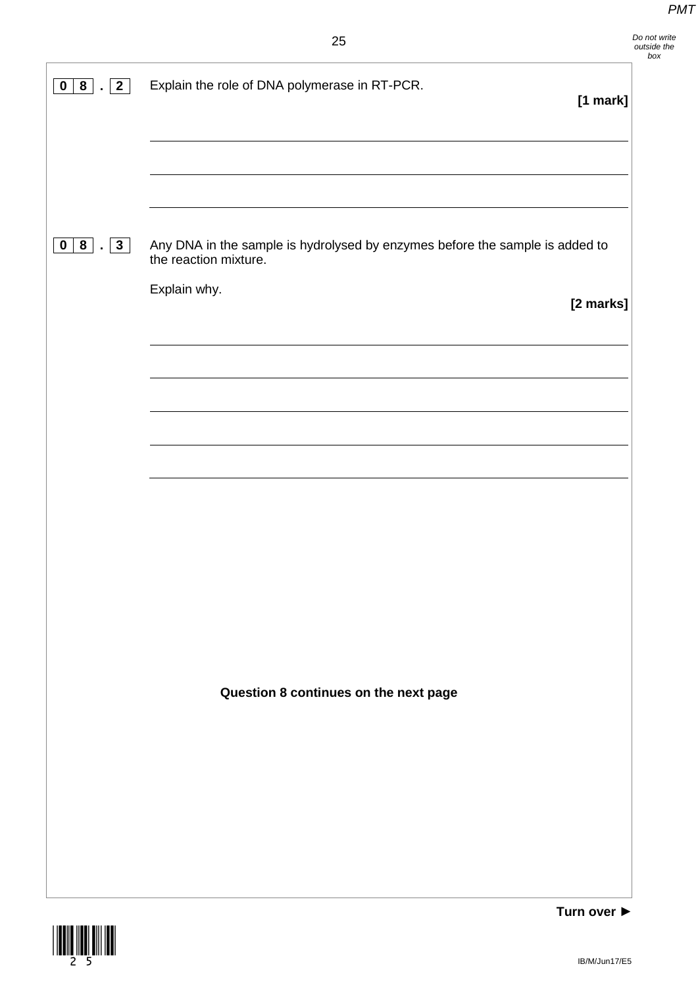| $\vert$ 2<br>8 <sup>1</sup><br>$\mathbf 0$<br>$\sim$ 1                                           | Explain the role of DNA polymerase in RT-PCR.                                                                         | $[1$ mark]  |
|--------------------------------------------------------------------------------------------------|-----------------------------------------------------------------------------------------------------------------------|-------------|
|                                                                                                  |                                                                                                                       |             |
| $\begin{array}{ c c c c c }\hline \textbf{0} & \textbf{8} & . & \textbf{3} \ \hline \end{array}$ | Any DNA in the sample is hydrolysed by enzymes before the sample is added to<br>the reaction mixture.<br>Explain why. | [2 marks]   |
|                                                                                                  |                                                                                                                       |             |
|                                                                                                  |                                                                                                                       |             |
|                                                                                                  |                                                                                                                       |             |
|                                                                                                  |                                                                                                                       |             |
|                                                                                                  | Question 8 continues on the next page                                                                                 |             |
|                                                                                                  |                                                                                                                       |             |
|                                                                                                  |                                                                                                                       |             |
|                                                                                                  |                                                                                                                       | Turn over b |

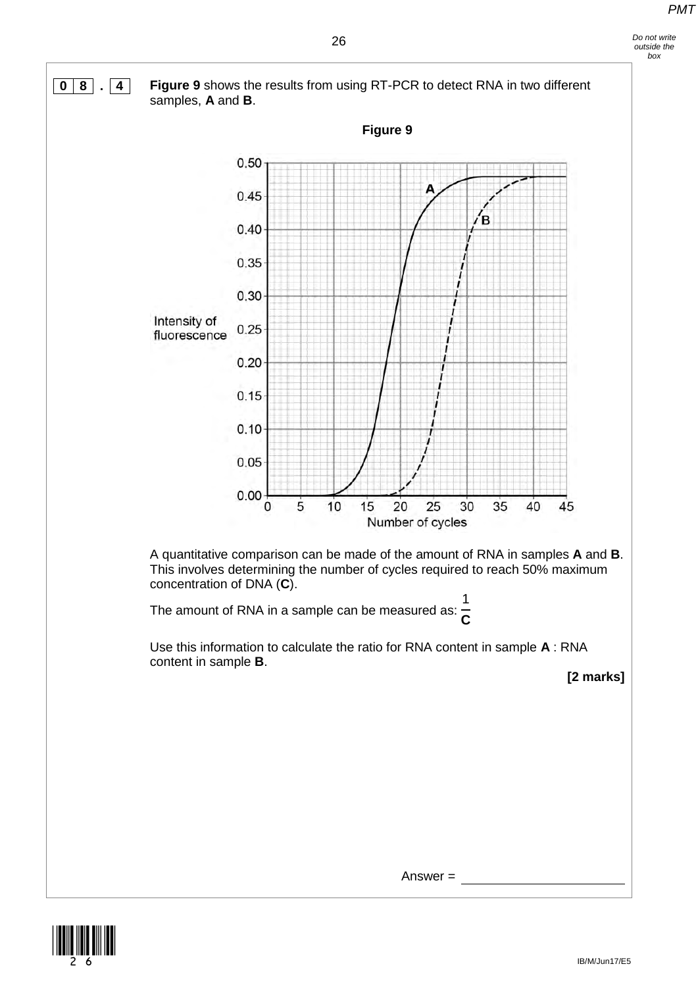

Answer =

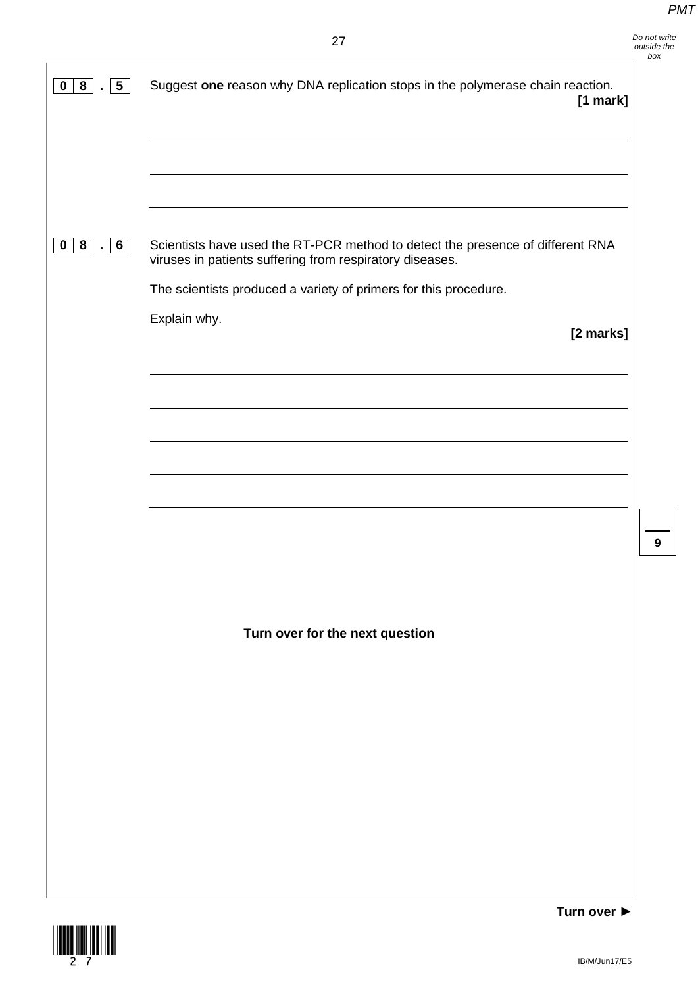| $5\phantom{.0}$<br>8<br>$\mathbf 0$ | Suggest one reason why DNA replication stops in the polymerase chain reaction.<br>[1 mark]                                                 |   |
|-------------------------------------|--------------------------------------------------------------------------------------------------------------------------------------------|---|
|                                     |                                                                                                                                            |   |
|                                     |                                                                                                                                            |   |
| 0 8 .6                              | Scientists have used the RT-PCR method to detect the presence of different RNA<br>viruses in patients suffering from respiratory diseases. |   |
|                                     | The scientists produced a variety of primers for this procedure.                                                                           |   |
|                                     | Explain why.<br>[2 marks]                                                                                                                  |   |
|                                     |                                                                                                                                            |   |
|                                     |                                                                                                                                            |   |
|                                     |                                                                                                                                            |   |
|                                     |                                                                                                                                            |   |
|                                     |                                                                                                                                            |   |
|                                     |                                                                                                                                            | 9 |
|                                     |                                                                                                                                            |   |
|                                     |                                                                                                                                            |   |
|                                     | Turn over for the next question                                                                                                            |   |
|                                     |                                                                                                                                            |   |
|                                     |                                                                                                                                            |   |
|                                     |                                                                                                                                            |   |
|                                     |                                                                                                                                            |   |
|                                     |                                                                                                                                            |   |
|                                     |                                                                                                                                            |   |
|                                     |                                                                                                                                            |   |

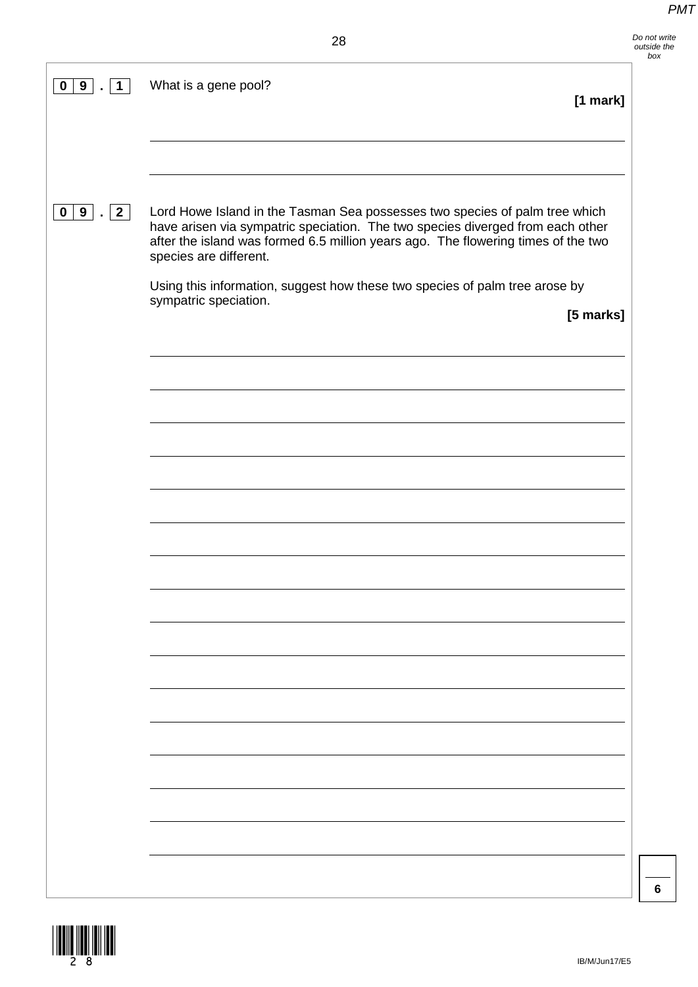| 9<br>$\mathbf 0$ | What is a gene pool?<br>$[1$ mark]                                                                                                                                                                                                                                                                                                                                                   |
|------------------|--------------------------------------------------------------------------------------------------------------------------------------------------------------------------------------------------------------------------------------------------------------------------------------------------------------------------------------------------------------------------------------|
| 0 9 . 2          | Lord Howe Island in the Tasman Sea possesses two species of palm tree which<br>have arisen via sympatric speciation. The two species diverged from each other<br>after the island was formed 6.5 million years ago. The flowering times of the two<br>species are different.<br>Using this information, suggest how these two species of palm tree arose by<br>sympatric speciation. |
|                  | [5 marks]                                                                                                                                                                                                                                                                                                                                                                            |
|                  |                                                                                                                                                                                                                                                                                                                                                                                      |
|                  |                                                                                                                                                                                                                                                                                                                                                                                      |
|                  |                                                                                                                                                                                                                                                                                                                                                                                      |
|                  |                                                                                                                                                                                                                                                                                                                                                                                      |
|                  |                                                                                                                                                                                                                                                                                                                                                                                      |
|                  |                                                                                                                                                                                                                                                                                                                                                                                      |
|                  |                                                                                                                                                                                                                                                                                                                                                                                      |
|                  |                                                                                                                                                                                                                                                                                                                                                                                      |

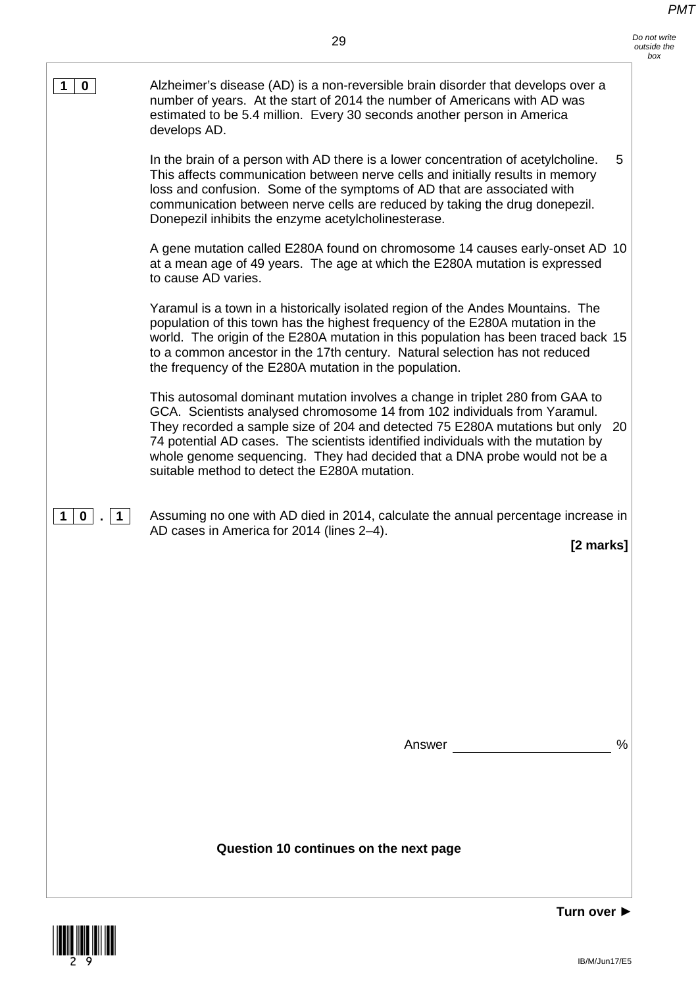| 0                 | Alzheimer's disease (AD) is a non-reversible brain disorder that develops over a<br>number of years. At the start of 2014 the number of Americans with AD was<br>estimated to be 5.4 million. Every 30 seconds another person in America<br>develops AD.                                                                                                                                                                                                           |  |
|-------------------|--------------------------------------------------------------------------------------------------------------------------------------------------------------------------------------------------------------------------------------------------------------------------------------------------------------------------------------------------------------------------------------------------------------------------------------------------------------------|--|
|                   | In the brain of a person with AD there is a lower concentration of acetylcholine.<br>5<br>This affects communication between nerve cells and initially results in memory<br>loss and confusion. Some of the symptoms of AD that are associated with<br>communication between nerve cells are reduced by taking the drug donepezil.<br>Donepezil inhibits the enzyme acetylcholinesterase.                                                                          |  |
|                   | A gene mutation called E280A found on chromosome 14 causes early-onset AD 10<br>at a mean age of 49 years. The age at which the E280A mutation is expressed<br>to cause AD varies.                                                                                                                                                                                                                                                                                 |  |
|                   | Yaramul is a town in a historically isolated region of the Andes Mountains. The<br>population of this town has the highest frequency of the E280A mutation in the<br>world. The origin of the E280A mutation in this population has been traced back 15<br>to a common ancestor in the 17th century. Natural selection has not reduced<br>the frequency of the E280A mutation in the population.                                                                   |  |
|                   | This autosomal dominant mutation involves a change in triplet 280 from GAA to<br>GCA. Scientists analysed chromosome 14 from 102 individuals from Yaramul.<br>They recorded a sample size of 204 and detected 75 E280A mutations but only<br>20<br>74 potential AD cases. The scientists identified individuals with the mutation by<br>whole genome sequencing. They had decided that a DNA probe would not be a<br>suitable method to detect the E280A mutation. |  |
| $\mathbf{0}$<br>1 | Assuming no one with AD died in 2014, calculate the annual percentage increase in<br>AD cases in America for 2014 (lines 2-4).<br>[2 marks]                                                                                                                                                                                                                                                                                                                        |  |
|                   |                                                                                                                                                                                                                                                                                                                                                                                                                                                                    |  |
|                   |                                                                                                                                                                                                                                                                                                                                                                                                                                                                    |  |
|                   | $\frac{0}{0}$<br>Answer                                                                                                                                                                                                                                                                                                                                                                                                                                            |  |
|                   |                                                                                                                                                                                                                                                                                                                                                                                                                                                                    |  |
|                   | Question 10 continues on the next page                                                                                                                                                                                                                                                                                                                                                                                                                             |  |
|                   | Turn over ▶                                                                                                                                                                                                                                                                                                                                                                                                                                                        |  |

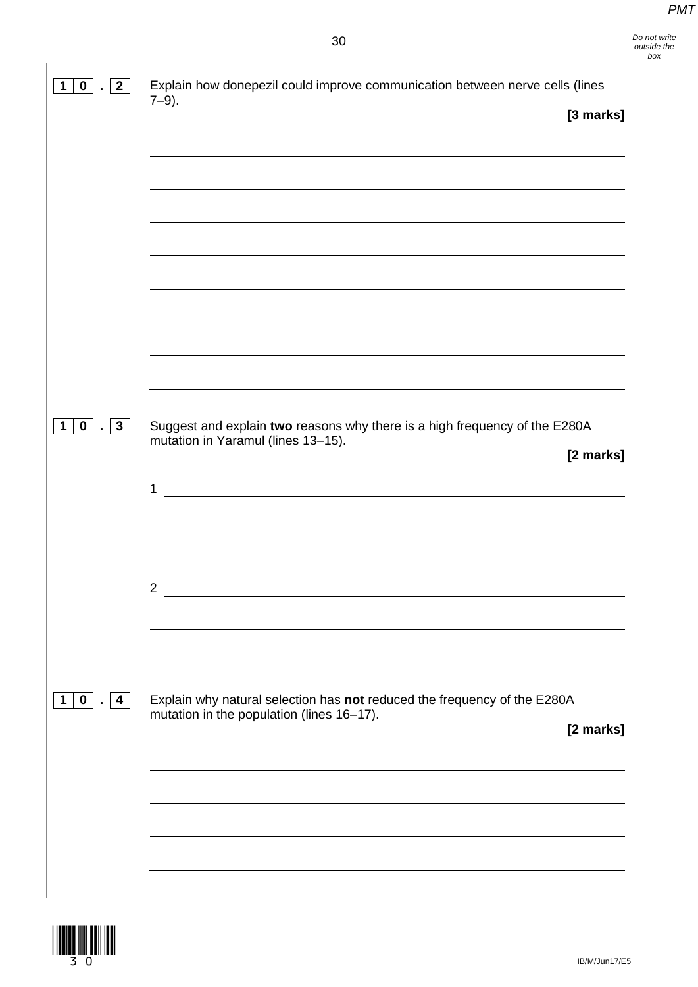| $0$ $ $ $ $ $2$<br>$\mathbf 1$ | Explain how donepezil could improve communication between nerve cells (lines<br>$7-9$ ).                               |           |
|--------------------------------|------------------------------------------------------------------------------------------------------------------------|-----------|
|                                |                                                                                                                        | [3 marks] |
|                                |                                                                                                                        |           |
|                                |                                                                                                                        |           |
|                                |                                                                                                                        |           |
|                                |                                                                                                                        |           |
|                                |                                                                                                                        |           |
|                                |                                                                                                                        |           |
|                                |                                                                                                                        |           |
|                                |                                                                                                                        |           |
|                                |                                                                                                                        |           |
|                                |                                                                                                                        |           |
| $1 0 $ . $3 $                  | Suggest and explain two reasons why there is a high frequency of the E280A<br>mutation in Yaramul (lines 13-15).       |           |
|                                |                                                                                                                        | [2 marks] |
|                                | 1<br><u> 1980 - Andrea Barbara, poeta espainiar político e a contrar a contrar a contrar a contrar a contrar a con</u> |           |
|                                |                                                                                                                        |           |
|                                |                                                                                                                        |           |
|                                |                                                                                                                        |           |
|                                | $\overline{2}$                                                                                                         |           |
|                                |                                                                                                                        |           |
|                                |                                                                                                                        |           |
|                                |                                                                                                                        |           |
| 1 0 . 4                        | Explain why natural selection has not reduced the frequency of the E280A<br>mutation in the population (lines 16-17).  |           |
|                                |                                                                                                                        | [2 marks] |
|                                |                                                                                                                        |           |
|                                |                                                                                                                        |           |
|                                |                                                                                                                        |           |
|                                |                                                                                                                        |           |
|                                |                                                                                                                        |           |

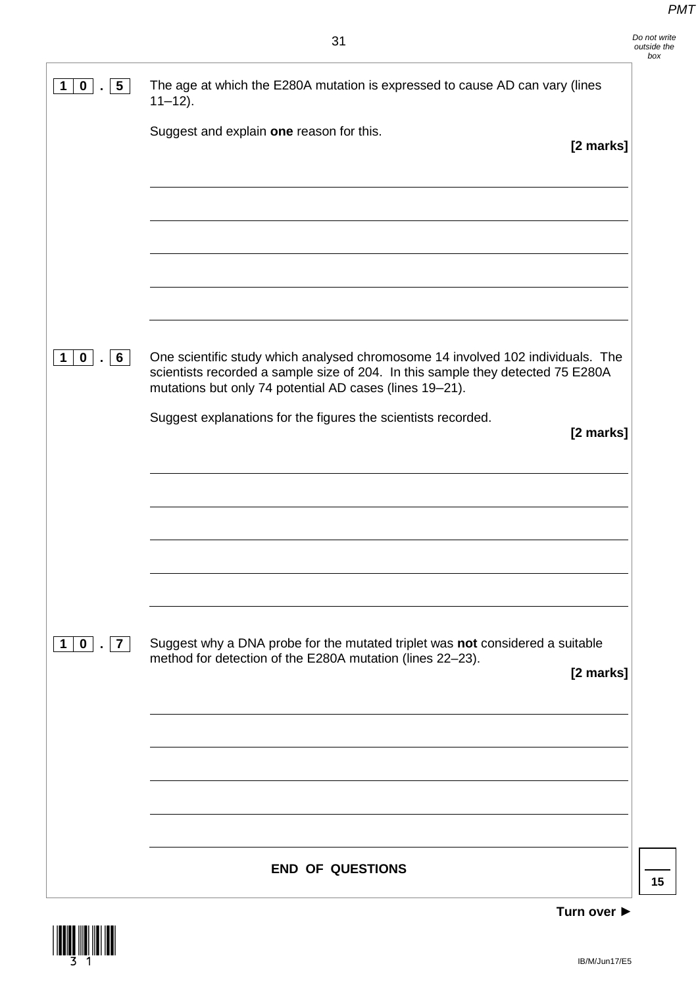| $5\overline{)}$<br>$\mathbf 0$<br>1           | The age at which the E280A mutation is expressed to cause AD can vary (lines<br>$11 - 12$ ).                                                                                                                                                                                                                |
|-----------------------------------------------|-------------------------------------------------------------------------------------------------------------------------------------------------------------------------------------------------------------------------------------------------------------------------------------------------------------|
|                                               | Suggest and explain one reason for this.<br>[2 marks]                                                                                                                                                                                                                                                       |
|                                               |                                                                                                                                                                                                                                                                                                             |
| $6\phantom{1}$<br>$\mathbf{0}$<br>$\mathbf 1$ | One scientific study which analysed chromosome 14 involved 102 individuals. The<br>scientists recorded a sample size of 204. In this sample they detected 75 E280A<br>mutations but only 74 potential AD cases (lines 19-21).<br>Suggest explanations for the figures the scientists recorded.<br>[2 marks] |
|                                               |                                                                                                                                                                                                                                                                                                             |
| $1 0 $ . $7 $                                 | Suggest why a DNA probe for the mutated triplet was not considered a suitable                                                                                                                                                                                                                               |
|                                               | method for detection of the E280A mutation (lines 22-23).<br>[2 marks]                                                                                                                                                                                                                                      |
|                                               |                                                                                                                                                                                                                                                                                                             |
|                                               | <b>END OF QUESTIONS</b>                                                                                                                                                                                                                                                                                     |